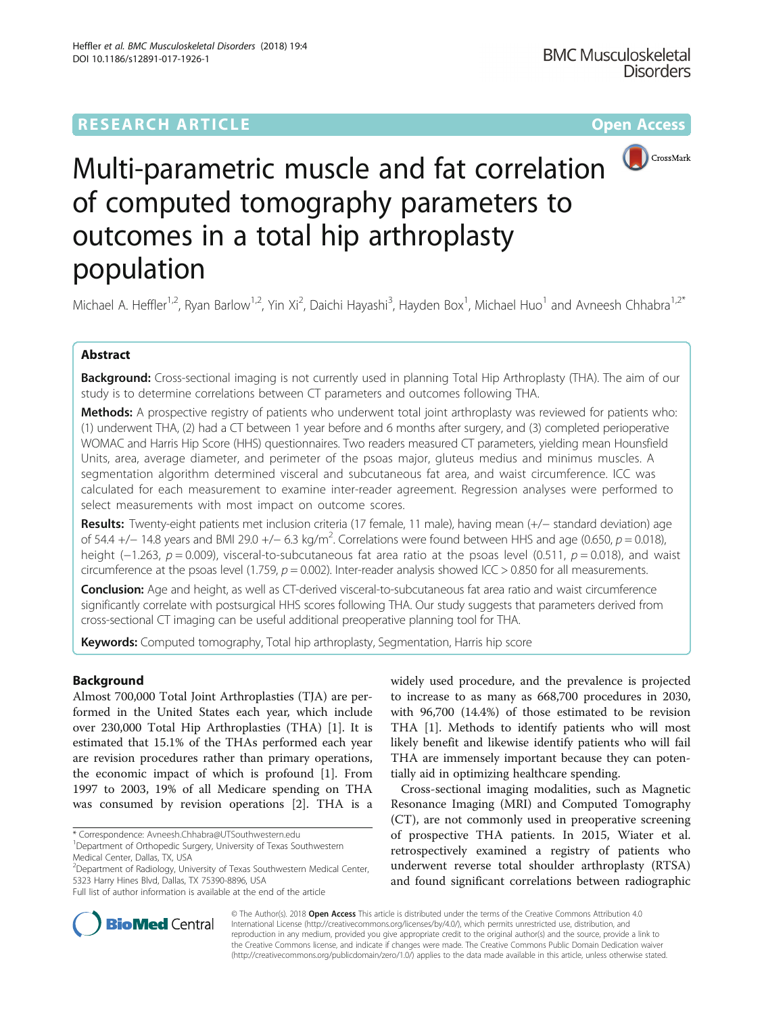

# Multi-parametric muscle and fat correlation of computed tomography parameters to outcomes in a total hip arthroplasty population

Michael A. Heffler<sup>1,2</sup>, Ryan Barlow<sup>1,2</sup>, Yin Xi<sup>2</sup>, Daichi Hayashi<sup>3</sup>, Hayden Box<sup>1</sup>, Michael Huo<sup>1</sup> and Avneesh Chhabra<sup>1,2\*</sup>

# Abstract

Background: Cross-sectional imaging is not currently used in planning Total Hip Arthroplasty (THA). The aim of our study is to determine correlations between CT parameters and outcomes following THA.

Methods: A prospective registry of patients who underwent total joint arthroplasty was reviewed for patients who: (1) underwent THA, (2) had a CT between 1 year before and 6 months after surgery, and (3) completed perioperative WOMAC and Harris Hip Score (HHS) questionnaires. Two readers measured CT parameters, yielding mean Hounsfield Units, area, average diameter, and perimeter of the psoas major, gluteus medius and minimus muscles. A segmentation algorithm determined visceral and subcutaneous fat area, and waist circumference. ICC was calculated for each measurement to examine inter-reader agreement. Regression analyses were performed to select measurements with most impact on outcome scores.

Results: Twenty-eight patients met inclusion criteria (17 female, 11 male), having mean (+/− standard deviation) age of 54.4 +/- 14.8 years and BMI 29.0 +/- 6.3 kg/m<sup>2</sup>. Correlations were found between HHS and age (0.650,  $p = 0.018$ ), height (−1.263, p = 0.009), visceral-to-subcutaneous fat area ratio at the psoas level (0.511, p = 0.018), and waist circumference at the psoas level (1.759,  $p = 0.002$ ). Inter-reader analysis showed ICC > 0.850 for all measurements.

Conclusion: Age and height, as well as CT-derived visceral-to-subcutaneous fat area ratio and waist circumference significantly correlate with postsurgical HHS scores following THA. Our study suggests that parameters derived from cross-sectional CT imaging can be useful additional preoperative planning tool for THA.

Keywords: Computed tomography, Total hip arthroplasty, Segmentation, Harris hip score

## Background

Almost 700,000 Total Joint Arthroplasties (TJA) are performed in the United States each year, which include over 230,000 Total Hip Arthroplasties (THA) [[1\]](#page-5-0). It is estimated that 15.1% of the THAs performed each year are revision procedures rather than primary operations, the economic impact of which is profound [\[1\]](#page-5-0). From 1997 to 2003, 19% of all Medicare spending on THA was consumed by revision operations [[2\]](#page-5-0). THA is a

widely used procedure, and the prevalence is projected to increase to as many as 668,700 procedures in 2030, with 96,700 (14.4%) of those estimated to be revision THA [\[1](#page-5-0)]. Methods to identify patients who will most likely benefit and likewise identify patients who will fail THA are immensely important because they can potentially aid in optimizing healthcare spending.

Cross-sectional imaging modalities, such as Magnetic Resonance Imaging (MRI) and Computed Tomography (CT), are not commonly used in preoperative screening of prospective THA patients. In 2015, Wiater et al. retrospectively examined a registry of patients who underwent reverse total shoulder arthroplasty (RTSA) and found significant correlations between radiographic



© The Author(s). 2018 Open Access This article is distributed under the terms of the Creative Commons Attribution 4.0 International License [\(http://creativecommons.org/licenses/by/4.0/](http://creativecommons.org/licenses/by/4.0/)), which permits unrestricted use, distribution, and reproduction in any medium, provided you give appropriate credit to the original author(s) and the source, provide a link to the Creative Commons license, and indicate if changes were made. The Creative Commons Public Domain Dedication waiver [\(http://creativecommons.org/publicdomain/zero/1.0/](http://creativecommons.org/publicdomain/zero/1.0/)) applies to the data made available in this article, unless otherwise stated.

<sup>\*</sup> Correspondence: [Avneesh.Chhabra@UTSouthwestern.edu](mailto:Avneesh.Chhabra@UTSouthwestern.edu) <sup>1</sup>

<sup>&</sup>lt;sup>1</sup>Department of Orthopedic Surgery, University of Texas Southwestern Medical Center, Dallas, TX, USA

<sup>&</sup>lt;sup>2</sup>Department of Radiology, University of Texas Southwestern Medical Center, 5323 Harry Hines Blvd, Dallas, TX 75390-8896, USA

Full list of author information is available at the end of the article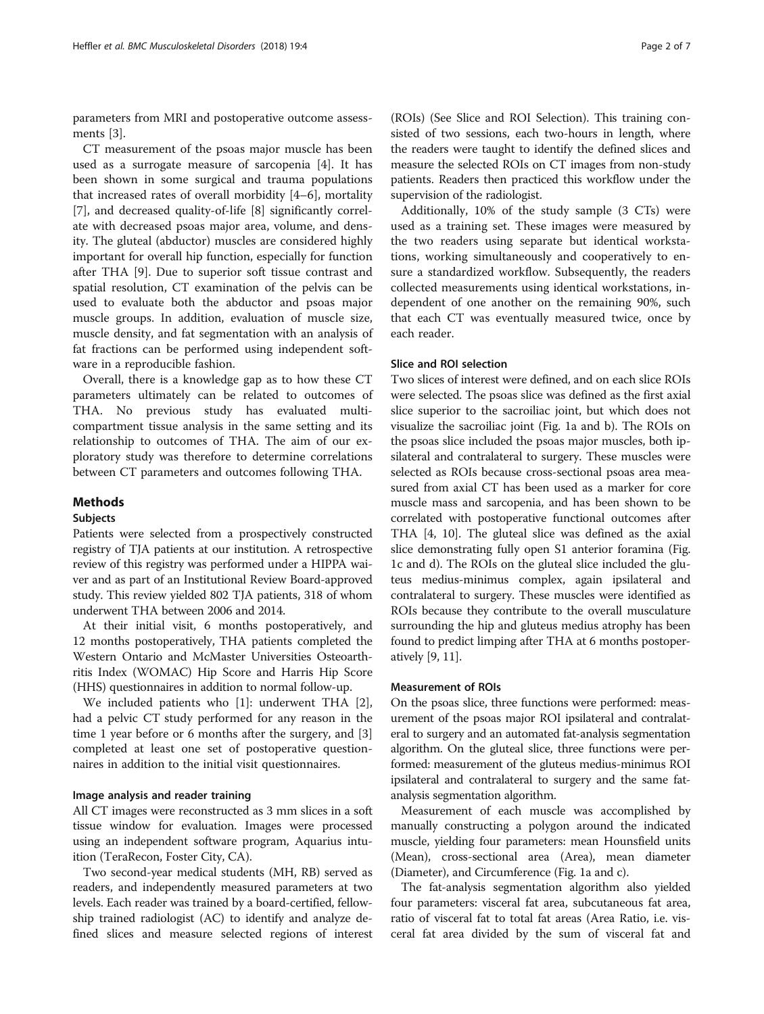parameters from MRI and postoperative outcome assessments [[3\]](#page-5-0).

CT measurement of the psoas major muscle has been used as a surrogate measure of sarcopenia [\[4](#page-5-0)]. It has been shown in some surgical and trauma populations that increased rates of overall morbidity [[4](#page-5-0)–[6\]](#page-5-0), mortality [[7\]](#page-5-0), and decreased quality-of-life [[8\]](#page-5-0) significantly correlate with decreased psoas major area, volume, and density. The gluteal (abductor) muscles are considered highly important for overall hip function, especially for function after THA [[9](#page-5-0)]. Due to superior soft tissue contrast and spatial resolution, CT examination of the pelvis can be used to evaluate both the abductor and psoas major muscle groups. In addition, evaluation of muscle size, muscle density, and fat segmentation with an analysis of fat fractions can be performed using independent software in a reproducible fashion.

Overall, there is a knowledge gap as to how these CT parameters ultimately can be related to outcomes of THA. No previous study has evaluated multicompartment tissue analysis in the same setting and its relationship to outcomes of THA. The aim of our exploratory study was therefore to determine correlations between CT parameters and outcomes following THA.

## Methods

## Subjects

Patients were selected from a prospectively constructed registry of TJA patients at our institution. A retrospective review of this registry was performed under a HIPPA waiver and as part of an Institutional Review Board-approved study. This review yielded 802 TJA patients, 318 of whom underwent THA between 2006 and 2014.

At their initial visit, 6 months postoperatively, and 12 months postoperatively, THA patients completed the Western Ontario and McMaster Universities Osteoarthritis Index (WOMAC) Hip Score and Harris Hip Score (HHS) questionnaires in addition to normal follow-up.

We included patients who [[1\]](#page-5-0): underwent THA [\[2](#page-5-0)], had a pelvic CT study performed for any reason in the time 1 year before or 6 months after the surgery, and [\[3](#page-5-0)] completed at least one set of postoperative questionnaires in addition to the initial visit questionnaires.

## Image analysis and reader training

All CT images were reconstructed as 3 mm slices in a soft tissue window for evaluation. Images were processed using an independent software program, Aquarius intuition (TeraRecon, Foster City, CA).

Two second-year medical students (MH, RB) served as readers, and independently measured parameters at two levels. Each reader was trained by a board-certified, fellowship trained radiologist (AC) to identify and analyze defined slices and measure selected regions of interest

(ROIs) (See Slice and ROI Selection). This training consisted of two sessions, each two-hours in length, where the readers were taught to identify the defined slices and measure the selected ROIs on CT images from non-study patients. Readers then practiced this workflow under the supervision of the radiologist.

Additionally, 10% of the study sample (3 CTs) were used as a training set. These images were measured by the two readers using separate but identical workstations, working simultaneously and cooperatively to ensure a standardized workflow. Subsequently, the readers collected measurements using identical workstations, independent of one another on the remaining 90%, such that each CT was eventually measured twice, once by each reader.

## Slice and ROI selection

Two slices of interest were defined, and on each slice ROIs were selected. The psoas slice was defined as the first axial slice superior to the sacroiliac joint, but which does not visualize the sacroiliac joint (Fig. [1a and b](#page-2-0)). The ROIs on the psoas slice included the psoas major muscles, both ipsilateral and contralateral to surgery. These muscles were selected as ROIs because cross-sectional psoas area measured from axial CT has been used as a marker for core muscle mass and sarcopenia, and has been shown to be correlated with postoperative functional outcomes after THA [\[4](#page-5-0), [10](#page-5-0)]. The gluteal slice was defined as the axial slice demonstrating fully open S1 anterior foramina (Fig. [1c and d\)](#page-2-0). The ROIs on the gluteal slice included the gluteus medius-minimus complex, again ipsilateral and contralateral to surgery. These muscles were identified as ROIs because they contribute to the overall musculature surrounding the hip and gluteus medius atrophy has been found to predict limping after THA at 6 months postoperatively [[9,](#page-5-0) [11\]](#page-6-0).

## Measurement of ROIs

On the psoas slice, three functions were performed: measurement of the psoas major ROI ipsilateral and contralateral to surgery and an automated fat-analysis segmentation algorithm. On the gluteal slice, three functions were performed: measurement of the gluteus medius-minimus ROI ipsilateral and contralateral to surgery and the same fatanalysis segmentation algorithm.

Measurement of each muscle was accomplished by manually constructing a polygon around the indicated muscle, yielding four parameters: mean Hounsfield units (Mean), cross-sectional area (Area), mean diameter (Diameter), and Circumference (Fig. [1a and c](#page-2-0)).

The fat-analysis segmentation algorithm also yielded four parameters: visceral fat area, subcutaneous fat area, ratio of visceral fat to total fat areas (Area Ratio, i.e. visceral fat area divided by the sum of visceral fat and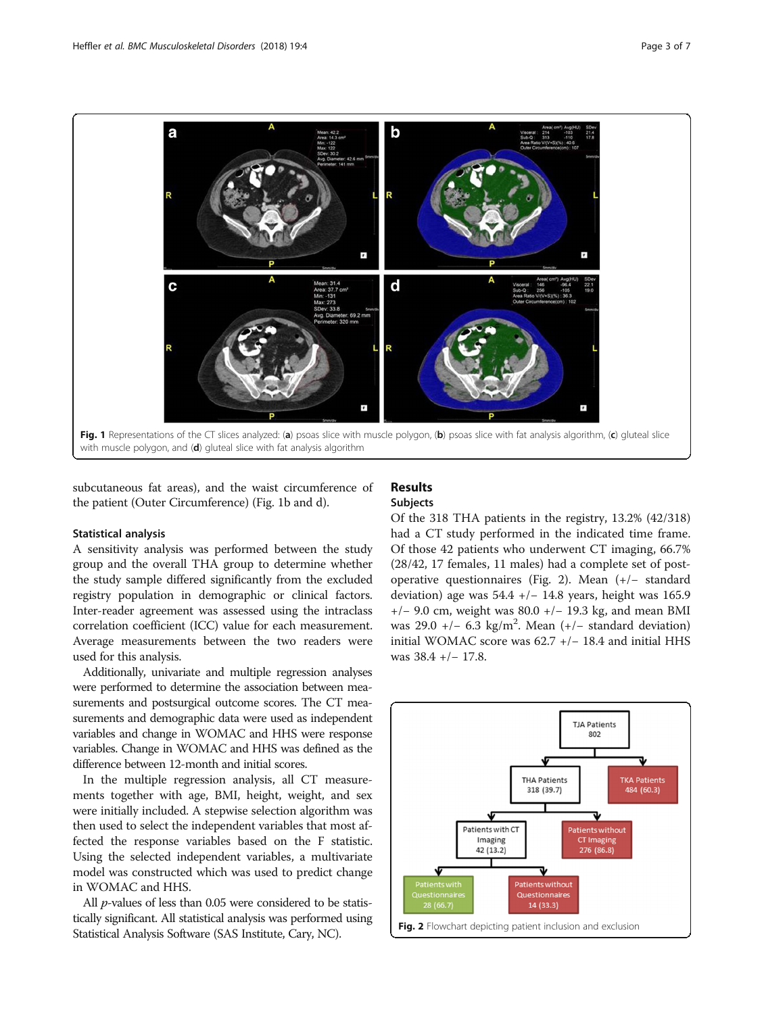<span id="page-2-0"></span>

subcutaneous fat areas), and the waist circumference of the patient (Outer Circumference) (Fig. 1b and d).

## Statistical analysis

A sensitivity analysis was performed between the study group and the overall THA group to determine whether the study sample differed significantly from the excluded registry population in demographic or clinical factors. Inter-reader agreement was assessed using the intraclass correlation coefficient (ICC) value for each measurement. Average measurements between the two readers were used for this analysis.

Additionally, univariate and multiple regression analyses were performed to determine the association between measurements and postsurgical outcome scores. The CT measurements and demographic data were used as independent variables and change in WOMAC and HHS were response variables. Change in WOMAC and HHS was defined as the difference between 12-month and initial scores.

In the multiple regression analysis, all CT measurements together with age, BMI, height, weight, and sex were initially included. A stepwise selection algorithm was then used to select the independent variables that most affected the response variables based on the F statistic. Using the selected independent variables, a multivariate model was constructed which was used to predict change in WOMAC and HHS.

All *p*-values of less than 0.05 were considered to be statistically significant. All statistical analysis was performed using Statistical Analysis Software (SAS Institute, Cary, NC).

## Results Subjects

Of the 318 THA patients in the registry, 13.2% (42/318) had a CT study performed in the indicated time frame. Of those 42 patients who underwent CT imaging, 66.7% (28/42, 17 females, 11 males) had a complete set of postoperative questionnaires (Fig. 2). Mean (+/− standard deviation) age was  $54.4$  +/- 14.8 years, height was 165.9 +/− 9.0 cm, weight was 80.0 +/− 19.3 kg, and mean BMI was 29.0 +/− 6.3 kg/m<sup>2</sup> . Mean (+/− standard deviation) initial WOMAC score was 62.7 +/− 18.4 and initial HHS was 38.4 +/− 17.8.

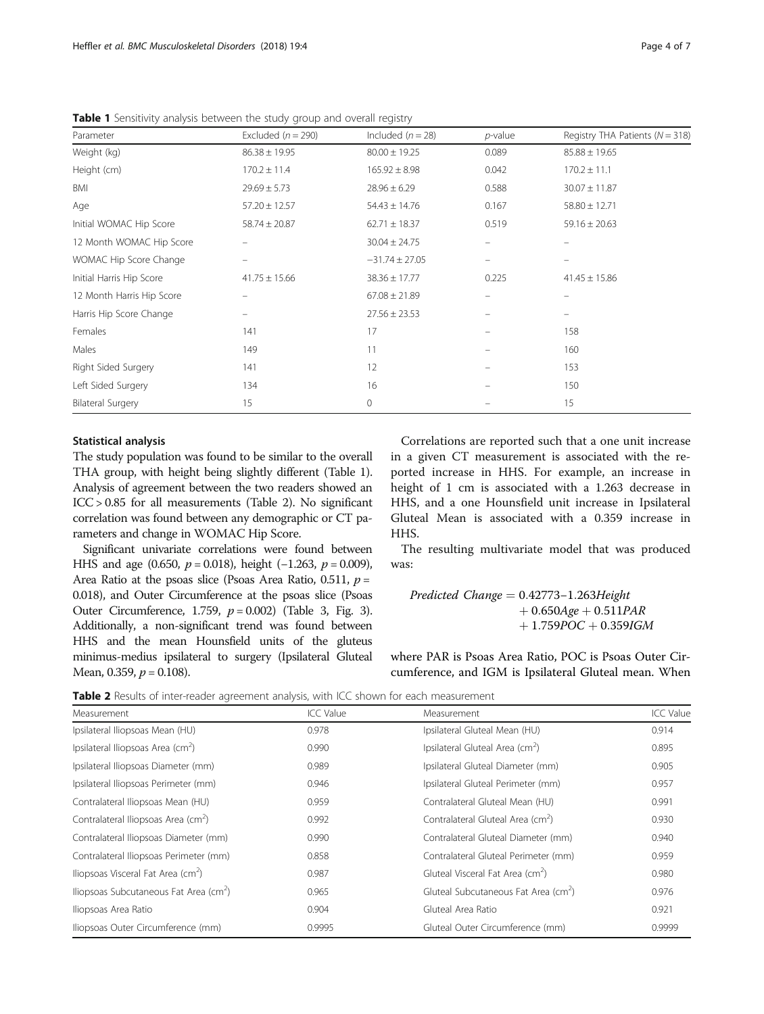| Parameter                 | Excluded $(n = 290)$ | Included $(n = 28)$ | $p$ -value | Registry THA Patients ( $N = 318$ ) |
|---------------------------|----------------------|---------------------|------------|-------------------------------------|
| Weight (kg)               | $86.38 \pm 19.95$    | $80.00 \pm 19.25$   | 0.089      | $85.88 \pm 19.65$                   |
| Height (cm)               | $170.2 \pm 11.4$     | $165.92 \pm 8.98$   | 0.042      | $170.2 \pm 11.1$                    |
| BMI                       | $29.69 \pm 5.73$     | $28.96 \pm 6.29$    | 0.588      | $30.07 \pm 11.87$                   |
| Age                       | $57.20 \pm 12.57$    | $54.43 \pm 14.76$   | 0.167      | $58.80 \pm 12.71$                   |
| Initial WOMAC Hip Score   | $58.74 \pm 20.87$    | $62.71 \pm 18.37$   | 0.519      | $59.16 \pm 20.63$                   |
| 12 Month WOMAC Hip Score  |                      | $30.04 \pm 24.75$   |            |                                     |
| WOMAC Hip Score Change    |                      | $-31.74 \pm 27.05$  | -          |                                     |
| Initial Harris Hip Score  | $41.75 \pm 15.66$    | $38.36 \pm 17.77$   | 0.225      | $41.45 \pm 15.86$                   |
| 12 Month Harris Hip Score |                      | $67.08 \pm 21.89$   |            |                                     |
| Harris Hip Score Change   |                      | $27.56 \pm 23.53$   |            |                                     |
| Females                   | 141                  | 17                  |            | 158                                 |
| Males                     | 149                  | 11                  |            | 160                                 |
| Right Sided Surgery       | 141                  | 12                  |            | 153                                 |
| Left Sided Surgery        | 134                  | 16                  |            | 150                                 |
| <b>Bilateral Surgery</b>  | 15                   | $\mathbf{0}$        |            | 15                                  |

Table 1 Sensitivity analysis between the study group and overall registry

## Statistical analysis

The study population was found to be similar to the overall THA group, with height being slightly different (Table 1). Analysis of agreement between the two readers showed an ICC > 0.85 for all measurements (Table 2). No significant correlation was found between any demographic or CT parameters and change in WOMAC Hip Score.

Significant univariate correlations were found between HHS and age (0.650,  $p = 0.018$ ), height (-1.263,  $p = 0.009$ ), Area Ratio at the psoas slice (Psoas Area Ratio, 0.511,  $p =$ 0.018), and Outer Circumference at the psoas slice (Psoas Outer Circumference, 1.759,  $p = 0.002$ ) (Table [3](#page-4-0), Fig. 3). Additionally, a non-significant trend was found between HHS and the mean Hounsfield units of the gluteus minimus-medius ipsilateral to surgery (Ipsilateral Gluteal Mean, 0.359,  $p = 0.108$ ).

Correlations are reported such that a one unit increase in a given CT measurement is associated with the reported increase in HHS. For example, an increase in height of 1 cm is associated with a 1.263 decrease in HHS, and a one Hounsfield unit increase in Ipsilateral Gluteal Mean is associated with a 0.359 increase in HHS.

The resulting multivariate model that was produced was:

Predicted Change =  $0.42773-1.263$ Height  $+0.650Age + 0.511PAR$  $+1.759POC + 0.359IGM$ 

where PAR is Psoas Area Ratio, POC is Psoas Outer Circumference, and IGM is Ipsilateral Gluteal mean. When

Table 2 Results of inter-reader agreement analysis, with ICC shown for each measurement

| Measurement                                        | <b>ICC Value</b> | Measurement                                      | <b>ICC Value</b> |
|----------------------------------------------------|------------------|--------------------------------------------------|------------------|
| Ipsilateral Iliopsoas Mean (HU)                    | 0.978            | Ipsilateral Gluteal Mean (HU)                    | 0.914            |
| Ipsilateral Iliopsoas Area (cm <sup>2</sup> )      | 0.990            | Ipsilateral Gluteal Area (cm <sup>2</sup> )      | 0.895            |
| Ipsilateral Iliopsoas Diameter (mm)                | 0.989            | Ipsilateral Gluteal Diameter (mm)                | 0.905            |
| Ipsilateral Iliopsoas Perimeter (mm)               | 0.946            | Ipsilateral Gluteal Perimeter (mm)               | 0.957            |
| Contralateral Iliopsoas Mean (HU)                  | 0.959            | Contralateral Gluteal Mean (HU)                  | 0.991            |
| Contralateral lliopsoas Area (cm <sup>2</sup> )    | 0.992            | Contralateral Gluteal Area (cm <sup>2</sup> )    | 0.930            |
| Contralateral Iliopsoas Diameter (mm)              | 0.990            | Contralateral Gluteal Diameter (mm)              | 0.940            |
| Contralateral Iliopsoas Perimeter (mm)             | 0.858            | Contralateral Gluteal Perimeter (mm)             | 0.959            |
| lliopsoas Visceral Fat Area (cm <sup>2</sup> )     | 0.987            | Gluteal Visceral Fat Area (cm <sup>2</sup> )     | 0.980            |
| Iliopsoas Subcutaneous Fat Area (cm <sup>2</sup> ) | 0.965            | Gluteal Subcutaneous Fat Area (cm <sup>2</sup> ) | 0.976            |
| Iliopsoas Area Ratio                               | 0.904            | Gluteal Area Ratio                               | 0.921            |
| Iliopsoas Outer Circumference (mm)                 | 0.9995           | Gluteal Outer Circumference (mm)                 | 0.9999           |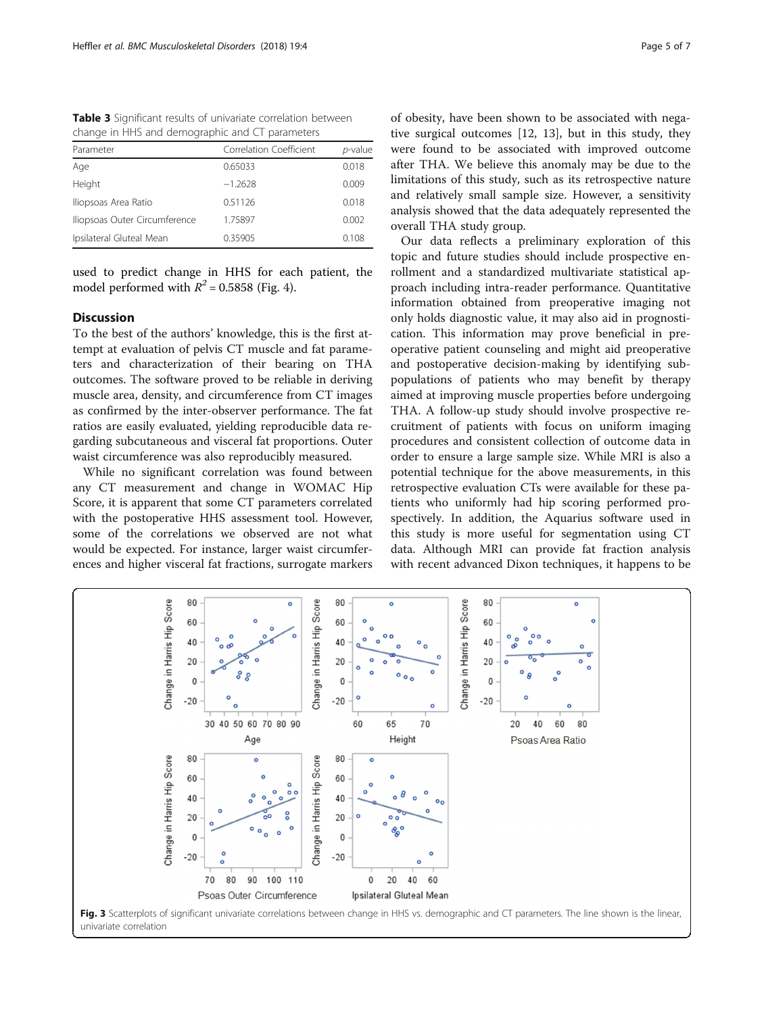<span id="page-4-0"></span>Table 3 Significant results of univariate correlation between change in HHS and demographic and CT parameters

| Parameter                     | Correlation Coefficient | p-value |
|-------------------------------|-------------------------|---------|
| Age                           | 0.65033                 | 0.018   |
| Height                        | $-1.2628$               | 0.009   |
| Iliopsoas Area Ratio          | 0.51126                 | 0.018   |
| Iliopsoas Outer Circumference | 1.75897                 | 0.002   |
| Ipsilateral Gluteal Mean      | 0.35905                 | 0.108   |

used to predict change in HHS for each patient, the model performed with  $R^2$  = 0.5858 (Fig. [4\)](#page-5-0).

## **Discussion**

To the best of the authors' knowledge, this is the first attempt at evaluation of pelvis CT muscle and fat parameters and characterization of their bearing on THA outcomes. The software proved to be reliable in deriving muscle area, density, and circumference from CT images as confirmed by the inter-observer performance. The fat ratios are easily evaluated, yielding reproducible data regarding subcutaneous and visceral fat proportions. Outer waist circumference was also reproducibly measured.

While no significant correlation was found between any CT measurement and change in WOMAC Hip Score, it is apparent that some CT parameters correlated with the postoperative HHS assessment tool. However, some of the correlations we observed are not what would be expected. For instance, larger waist circumferences and higher visceral fat fractions, surrogate markers

of obesity, have been shown to be associated with negative surgical outcomes [[12, 13](#page-6-0)], but in this study, they were found to be associated with improved outcome after THA. We believe this anomaly may be due to the limitations of this study, such as its retrospective nature and relatively small sample size. However, a sensitivity analysis showed that the data adequately represented the overall THA study group.

Our data reflects a preliminary exploration of this topic and future studies should include prospective enrollment and a standardized multivariate statistical approach including intra-reader performance. Quantitative information obtained from preoperative imaging not only holds diagnostic value, it may also aid in prognostication. This information may prove beneficial in preoperative patient counseling and might aid preoperative and postoperative decision-making by identifying subpopulations of patients who may benefit by therapy aimed at improving muscle properties before undergoing THA. A follow-up study should involve prospective recruitment of patients with focus on uniform imaging procedures and consistent collection of outcome data in order to ensure a large sample size. While MRI is also a potential technique for the above measurements, in this retrospective evaluation CTs were available for these patients who uniformly had hip scoring performed prospectively. In addition, the Aquarius software used in this study is more useful for segmentation using CT data. Although MRI can provide fat fraction analysis with recent advanced Dixon techniques, it happens to be

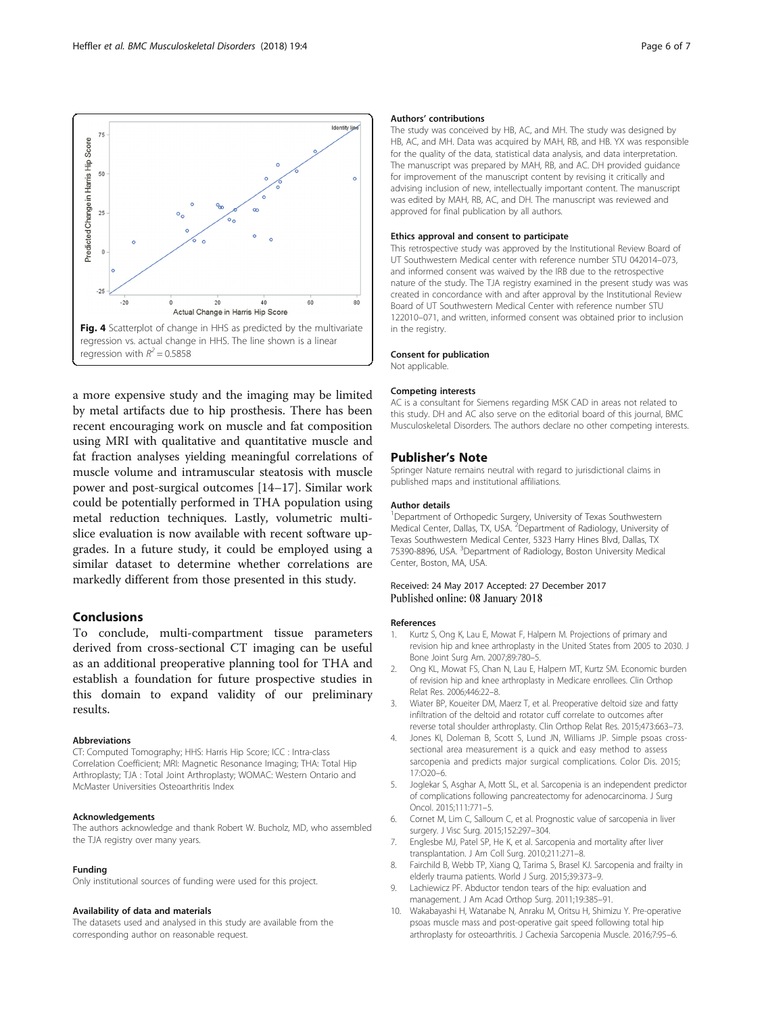<span id="page-5-0"></span>

a more expensive study and the imaging may be limited by metal artifacts due to hip prosthesis. There has been recent encouraging work on muscle and fat composition using MRI with qualitative and quantitative muscle and fat fraction analyses yielding meaningful correlations of muscle volume and intramuscular steatosis with muscle power and post-surgical outcomes [[14](#page-6-0)–[17\]](#page-6-0). Similar work could be potentially performed in THA population using metal reduction techniques. Lastly, volumetric multislice evaluation is now available with recent software upgrades. In a future study, it could be employed using a similar dataset to determine whether correlations are markedly different from those presented in this study.

## Conclusions

To conclude, multi-compartment tissue parameters derived from cross-sectional CT imaging can be useful as an additional preoperative planning tool for THA and establish a foundation for future prospective studies in this domain to expand validity of our preliminary results.

## Abbreviations

CT: Computed Tomography; HHS: Harris Hip Score; ICC : Intra-class Correlation Coefficient; MRI: Magnetic Resonance Imaging; THA: Total Hip Arthroplasty; TJA : Total Joint Arthroplasty; WOMAC: Western Ontario and McMaster Universities Osteoarthritis Index

#### Acknowledgements

The authors acknowledge and thank Robert W. Bucholz, MD, who assembled the TJA registry over many years.

#### Funding

Only institutional sources of funding were used for this project.

#### Availability of data and materials

The datasets used and analysed in this study are available from the corresponding author on reasonable request.

## Authors' contributions

The study was conceived by HB, AC, and MH. The study was designed by HB, AC, and MH. Data was acquired by MAH, RB, and HB. YX was responsible for the quality of the data, statistical data analysis, and data interpretation. The manuscript was prepared by MAH, RB, and AC. DH provided guidance for improvement of the manuscript content by revising it critically and advising inclusion of new, intellectually important content. The manuscript was edited by MAH, RB, AC, and DH. The manuscript was reviewed and approved for final publication by all authors.

## Ethics approval and consent to participate

This retrospective study was approved by the Institutional Review Board of UT Southwestern Medical center with reference number STU 042014–073, and informed consent was waived by the IRB due to the retrospective nature of the study. The TJA registry examined in the present study was was created in concordance with and after approval by the Institutional Review Board of UT Southwestern Medical Center with reference number STU 122010–071, and written, informed consent was obtained prior to inclusion in the registry.

## Consent for publication

Not applicable.

#### Competing interests

AC is a consultant for Siemens regarding MSK CAD in areas not related to this study. DH and AC also serve on the editorial board of this journal, BMC Musculoskeletal Disorders. The authors declare no other competing interests.

#### Publisher's Note

Springer Nature remains neutral with regard to jurisdictional claims in published maps and institutional affiliations.

#### Author details

<sup>1</sup>Department of Orthopedic Surgery, University of Texas Southwestern Medical Center, Dallas, TX, USA. <sup>2</sup> Department of Radiology, University of Texas Southwestern Medical Center, 5323 Harry Hines Blvd, Dallas, TX 75390-8896, USA. <sup>3</sup>Department of Radiology, Boston University Medical Center, Boston, MA, USA.

## Received: 24 May 2017 Accepted: 27 December 2017 Published online: 08 January 2018

#### References

- Kurtz S, Ong K, Lau E, Mowat F, Halpern M. Projections of primary and revision hip and knee arthroplasty in the United States from 2005 to 2030. J Bone Joint Surg Am. 2007;89:780–5.
- 2. Ong KL, Mowat FS, Chan N, Lau E, Halpern MT, Kurtz SM. Economic burden of revision hip and knee arthroplasty in Medicare enrollees. Clin Orthop Relat Res. 2006;446:22–8.
- 3. Wiater BP, Koueiter DM, Maerz T, et al. Preoperative deltoid size and fatty infiltration of the deltoid and rotator cuff correlate to outcomes after reverse total shoulder arthroplasty. Clin Orthop Relat Res. 2015;473:663–73.
- 4. Jones KI, Doleman B, Scott S, Lund JN, Williams JP. Simple psoas crosssectional area measurement is a quick and easy method to assess sarcopenia and predicts major surgical complications. Color Dis. 2015; 17:O20–6.
- 5. Joglekar S, Asghar A, Mott SL, et al. Sarcopenia is an independent predictor of complications following pancreatectomy for adenocarcinoma. J Surg Oncol. 2015;111:771–5.
- 6. Cornet M, Lim C, Salloum C, et al. Prognostic value of sarcopenia in liver surgery. J Visc Surg. 2015;152:297–304.
- 7. Englesbe MJ, Patel SP, He K, et al. Sarcopenia and mortality after liver transplantation. J Am Coll Surg. 2010;211:271–8.
- 8. Fairchild B, Webb TP, Xiang Q, Tarima S, Brasel KJ. Sarcopenia and frailty in elderly trauma patients. World J Surg. 2015;39:373–9.
- 9. Lachiewicz PF. Abductor tendon tears of the hip: evaluation and management. J Am Acad Orthop Surg. 2011;19:385–91.
- 10. Wakabayashi H, Watanabe N, Anraku M, Oritsu H, Shimizu Y. Pre-operative psoas muscle mass and post-operative gait speed following total hip arthroplasty for osteoarthritis. J Cachexia Sarcopenia Muscle. 2016;7:95–6.